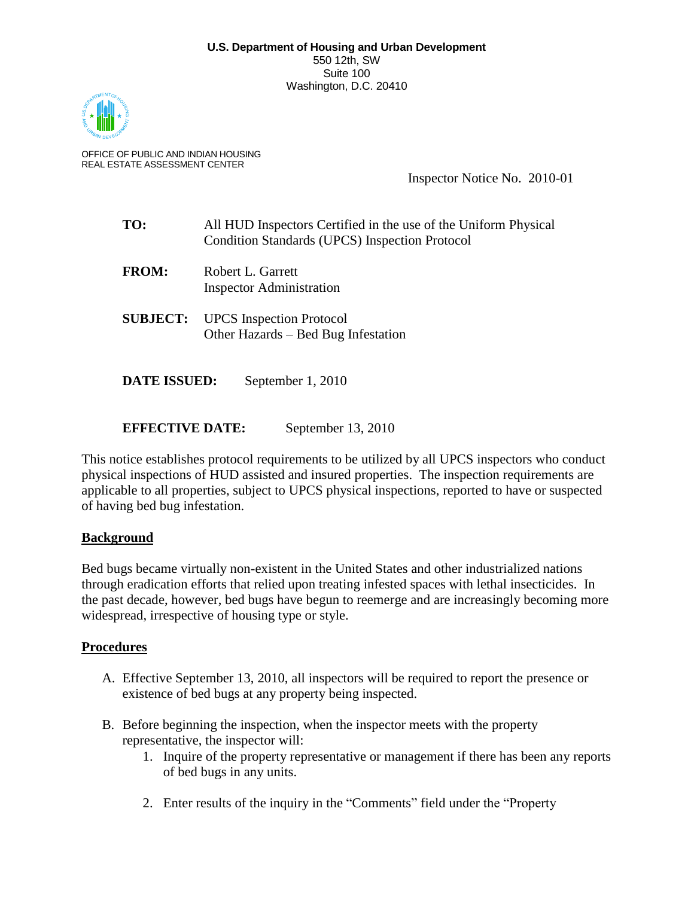

OFFICE OF PUBLIC AND INDIAN HOUSING REAL ESTATE ASSESSMENT CENTER

Inspector Notice No. 2010-01

- **TO:** All HUD Inspectors Certified in the use of the Uniform Physical Condition Standards (UPCS) Inspection Protocol
- **FROM:** Robert L. Garrett Inspector Administration
- **SUBJECT:** UPCS Inspection Protocol Other Hazards – Bed Bug Infestation

**DATE ISSUED:** September 1, 2010

**EFFECTIVE DATE:** September 13, 2010

This notice establishes protocol requirements to be utilized by all UPCS inspectors who conduct physical inspections of HUD assisted and insured properties. The inspection requirements are applicable to all properties, subject to UPCS physical inspections, reported to have or suspected of having bed bug infestation.

## **Background**

Bed bugs became virtually non-existent in the United States and other industrialized nations through eradication efforts that relied upon treating infested spaces with lethal insecticides. In the past decade, however, bed bugs have begun to reemerge and are increasingly becoming more widespread, irrespective of housing type or style.

## **Procedures**

- A. Effective September 13, 2010, all inspectors will be required to report the presence or existence of bed bugs at any property being inspected.
- B. Before beginning the inspection, when the inspector meets with the property representative, the inspector will:
	- 1. Inquire of the property representative or management if there has been any reports of bed bugs in any units.
	- 2. Enter results of the inquiry in the "Comments" field under the "Property